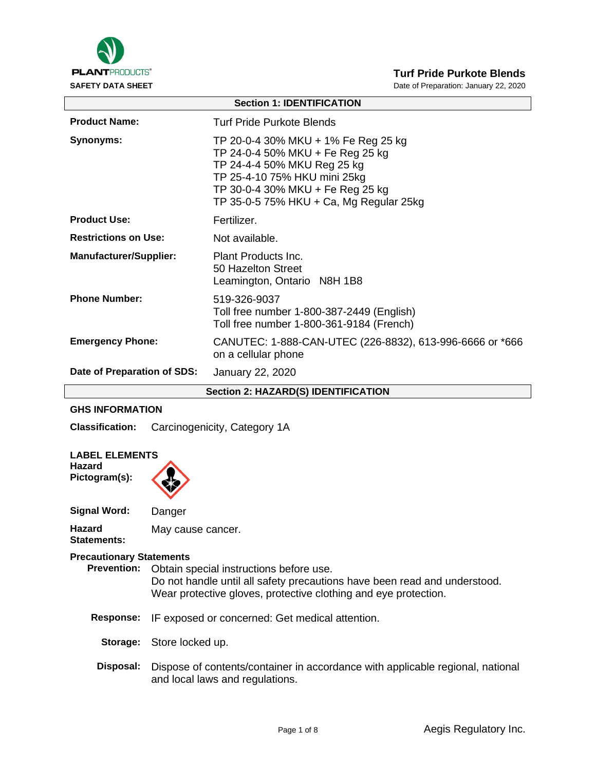

**SAFETY DATA SHEET DATA SHEET Date of Preparation: January 22, 2020** 

| <b>Section 1: IDENTIFICATION</b>           |                                                                                                                                                                                                                       |  |  |
|--------------------------------------------|-----------------------------------------------------------------------------------------------------------------------------------------------------------------------------------------------------------------------|--|--|
| <b>Product Name:</b>                       | Turf Pride Purkote Blends                                                                                                                                                                                             |  |  |
| Synonyms:                                  | TP 20-0-4 30% MKU + 1% Fe Reg 25 kg<br>TP 24-0-4 50% MKU + Fe Reg 25 kg<br>TP 24-4-4 50% MKU Reg 25 kg<br>TP 25-4-10 75% HKU mini 25kg<br>TP 30-0-4 30% MKU + Fe Reg 25 kg<br>TP 35-0-5 75% HKU + Ca, Mg Regular 25kg |  |  |
| <b>Product Use:</b>                        | Fertilizer.                                                                                                                                                                                                           |  |  |
| <b>Restrictions on Use:</b>                | Not available.                                                                                                                                                                                                        |  |  |
| <b>Manufacturer/Supplier:</b>              | Plant Products Inc.<br>50 Hazelton Street<br>Leamington, Ontario N8H 1B8                                                                                                                                              |  |  |
| <b>Phone Number:</b>                       | 519-326-9037<br>Toll free number 1-800-387-2449 (English)<br>Toll free number 1-800-361-9184 (French)                                                                                                                 |  |  |
| <b>Emergency Phone:</b>                    | CANUTEC: 1-888-CAN-UTEC (226-8832), 613-996-6666 or *666<br>on a cellular phone                                                                                                                                       |  |  |
| Date of Preparation of SDS:                | January 22, 2020                                                                                                                                                                                                      |  |  |
| <b>Section 2: HAZARD(S) IDENTIFICATION</b> |                                                                                                                                                                                                                       |  |  |

# **GHS INFORMATION**

**Classification:** Carcinogenicity, Category 1A

| <b>LABEL ELEMENTS</b><br>Hazard<br>Pictogram(s):      |                                                                                                                                                                                         |
|-------------------------------------------------------|-----------------------------------------------------------------------------------------------------------------------------------------------------------------------------------------|
| <b>Signal Word:</b>                                   | Danger                                                                                                                                                                                  |
| Hazard<br>Statements:                                 | May cause cancer.                                                                                                                                                                       |
| <b>Precautionary Statements</b><br><b>Prevention:</b> | Obtain special instructions before use.<br>Do not handle until all safety precautions have been read and understood.<br>Wear protective gloves, protective clothing and eye protection. |
| <b>Response:</b>                                      | IF exposed or concerned: Get medical attention.                                                                                                                                         |
| Storage:                                              | Store locked up.                                                                                                                                                                        |
| Disposal:                                             | Dispose of contents/container in accordance with applicable regional, national<br>and local laws and regulations.                                                                       |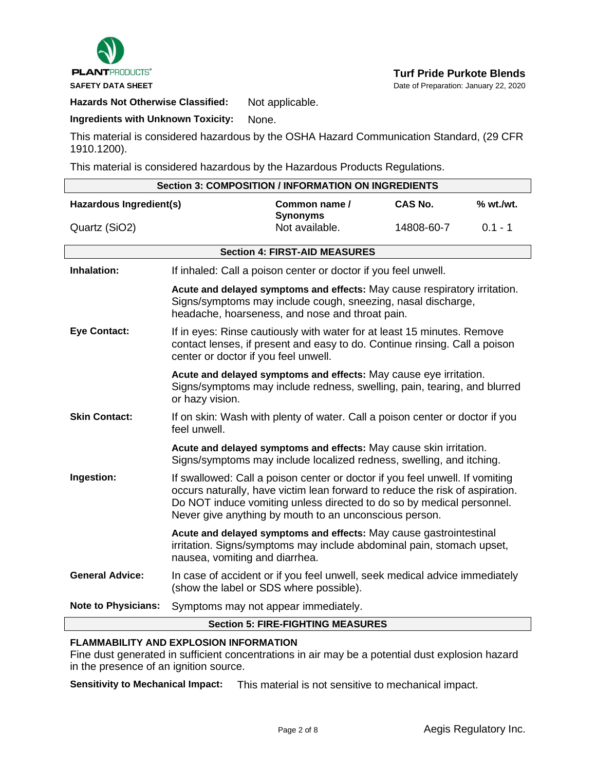

**Hazards Not Otherwise Classified:** Not applicable.

**Ingredients with Unknown Toxicity:** None.

This material is considered hazardous by the OSHA Hazard Communication Standard, (29 CFR 1910.1200).

This material is considered hazardous by the Hazardous Products Regulations.

| <b>Section 3: COMPOSITION / INFORMATION ON INGREDIENTS</b> |                                                                                                                                                                                                                                                                                                 |                                                                                                                                             |                |           |
|------------------------------------------------------------|-------------------------------------------------------------------------------------------------------------------------------------------------------------------------------------------------------------------------------------------------------------------------------------------------|---------------------------------------------------------------------------------------------------------------------------------------------|----------------|-----------|
| Hazardous Ingredient(s)                                    |                                                                                                                                                                                                                                                                                                 | Common name /<br><b>Synonyms</b>                                                                                                            | <b>CAS No.</b> | % wt./wt. |
| Quartz (SiO2)                                              |                                                                                                                                                                                                                                                                                                 | Not available.                                                                                                                              | 14808-60-7     | $0.1 - 1$ |
|                                                            |                                                                                                                                                                                                                                                                                                 | <b>Section 4: FIRST-AID MEASURES</b>                                                                                                        |                |           |
| Inhalation:                                                | If inhaled: Call a poison center or doctor if you feel unwell.                                                                                                                                                                                                                                  |                                                                                                                                             |                |           |
|                                                            | Acute and delayed symptoms and effects: May cause respiratory irritation.<br>Signs/symptoms may include cough, sneezing, nasal discharge,<br>headache, hoarseness, and nose and throat pain.                                                                                                    |                                                                                                                                             |                |           |
| <b>Eye Contact:</b>                                        | If in eyes: Rinse cautiously with water for at least 15 minutes. Remove<br>contact lenses, if present and easy to do. Continue rinsing. Call a poison<br>center or doctor if you feel unwell.                                                                                                   |                                                                                                                                             |                |           |
|                                                            | Acute and delayed symptoms and effects: May cause eye irritation.<br>Signs/symptoms may include redness, swelling, pain, tearing, and blurred<br>or hazy vision.                                                                                                                                |                                                                                                                                             |                |           |
| <b>Skin Contact:</b>                                       | If on skin: Wash with plenty of water. Call a poison center or doctor if you<br>feel unwell.                                                                                                                                                                                                    |                                                                                                                                             |                |           |
|                                                            | Acute and delayed symptoms and effects: May cause skin irritation.<br>Signs/symptoms may include localized redness, swelling, and itching.                                                                                                                                                      |                                                                                                                                             |                |           |
| Ingestion:                                                 | If swallowed: Call a poison center or doctor if you feel unwell. If vomiting<br>occurs naturally, have victim lean forward to reduce the risk of aspiration.<br>Do NOT induce vomiting unless directed to do so by medical personnel.<br>Never give anything by mouth to an unconscious person. |                                                                                                                                             |                |           |
|                                                            | nausea, vomiting and diarrhea.                                                                                                                                                                                                                                                                  | Acute and delayed symptoms and effects: May cause gastrointestinal<br>irritation. Signs/symptoms may include abdominal pain, stomach upset, |                |           |
| <b>General Advice:</b>                                     | In case of accident or if you feel unwell, seek medical advice immediately<br>(show the label or SDS where possible).                                                                                                                                                                           |                                                                                                                                             |                |           |
| <b>Note to Physicians:</b>                                 | Symptoms may not appear immediately.                                                                                                                                                                                                                                                            |                                                                                                                                             |                |           |
| <b>Section 5: FIRE-FIGHTING MEASURES</b>                   |                                                                                                                                                                                                                                                                                                 |                                                                                                                                             |                |           |

# **FLAMMABILITY AND EXPLOSION INFORMATION**

Fine dust generated in sufficient concentrations in air may be a potential dust explosion hazard in the presence of an ignition source.

**Sensitivity to Mechanical Impact:** This material is not sensitive to mechanical impact.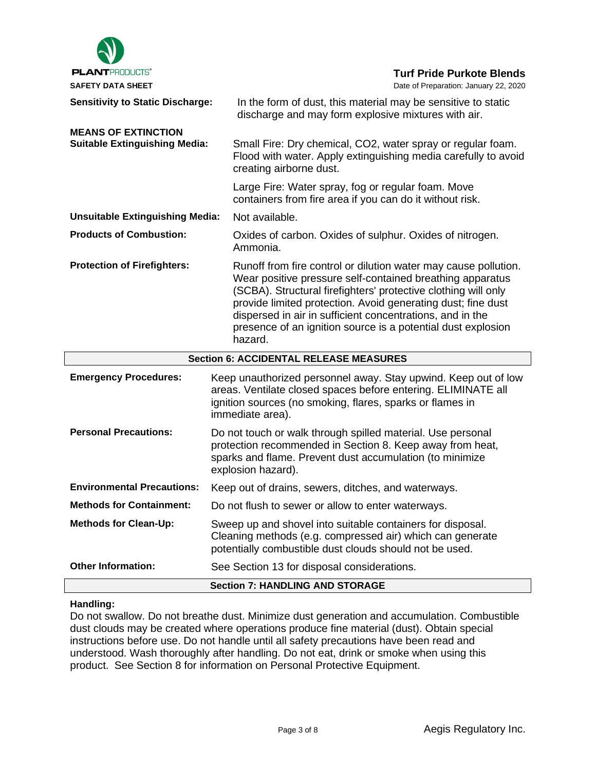

# **Handling:**

Do not swallow. Do not breathe dust. Minimize dust generation and accumulation. Combustible dust clouds may be created where operations produce fine material (dust). Obtain special instructions before use. Do not handle until all safety precautions have been read and understood. Wash thoroughly after handling. Do not eat, drink or smoke when using this product. See Section 8 for information on Personal Protective Equipment.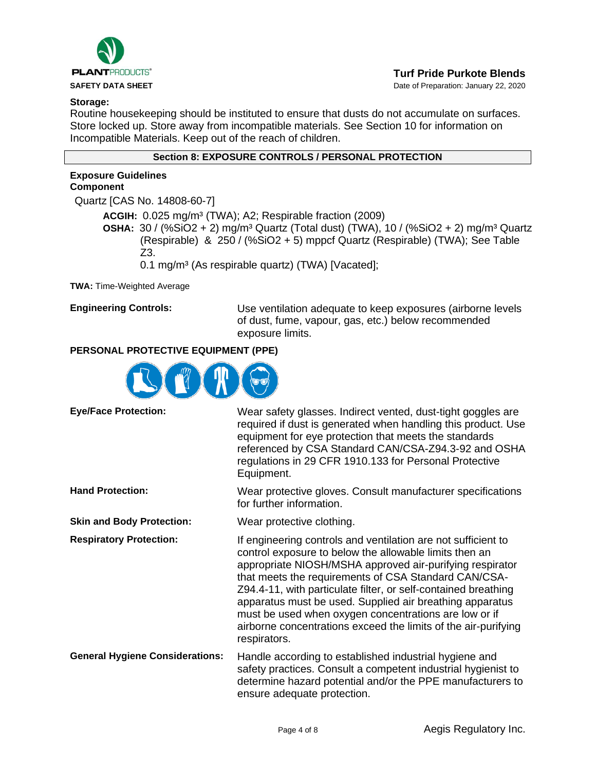

**SAFETY DATA SHEET DATA SHEET Date of Preparation: January 22, 2020** 

### **Storage:**

Routine housekeeping should be instituted to ensure that dusts do not accumulate on surfaces. Store locked up. Store away from incompatible materials. See Section 10 for information on Incompatible Materials. Keep out of the reach of children.

# **Section 8: EXPOSURE CONTROLS / PERSONAL PROTECTION**

# **Exposure Guidelines Component**

Quartz [CAS No. 14808-60-7]

**ACGIH:** 0.025 mg/m³ (TWA); A2; Respirable fraction (2009) **OSHA:** 30 / (%SiO2 + 2) mg/m³ Quartz (Total dust) (TWA), 10 / (%SiO2 + 2) mg/m³ Quartz (Respirable) & 250 / (%SiO2 + 5) mppcf Quartz (Respirable) (TWA); See Table Z3.

0.1 mg/m<sup>3</sup> (As respirable quartz) (TWA) [Vacated];

**TWA:** Time-Weighted Average

**Engineering Controls:** Use ventilation adequate to keep exposures (airborne levels of dust, fume, vapour, gas, etc.) below recommended exposure limits.

# **PERSONAL PROTECTIVE EQUIPMENT (PPE)**



| <b>Eye/Face Protection:</b>            | Wear safety glasses. Indirect vented, dust-tight goggles are<br>required if dust is generated when handling this product. Use<br>equipment for eye protection that meets the standards<br>referenced by CSA Standard CAN/CSA-Z94.3-92 and OSHA<br>regulations in 29 CFR 1910.133 for Personal Protective<br>Equipment.                                                                                                                                                                                               |
|----------------------------------------|----------------------------------------------------------------------------------------------------------------------------------------------------------------------------------------------------------------------------------------------------------------------------------------------------------------------------------------------------------------------------------------------------------------------------------------------------------------------------------------------------------------------|
| <b>Hand Protection:</b>                | Wear protective gloves. Consult manufacturer specifications<br>for further information.                                                                                                                                                                                                                                                                                                                                                                                                                              |
| <b>Skin and Body Protection:</b>       | Wear protective clothing.                                                                                                                                                                                                                                                                                                                                                                                                                                                                                            |
| <b>Respiratory Protection:</b>         | If engineering controls and ventilation are not sufficient to<br>control exposure to below the allowable limits then an<br>appropriate NIOSH/MSHA approved air-purifying respirator<br>that meets the requirements of CSA Standard CAN/CSA-<br>Z94.4-11, with particulate filter, or self-contained breathing<br>apparatus must be used. Supplied air breathing apparatus<br>must be used when oxygen concentrations are low or if<br>airborne concentrations exceed the limits of the air-purifying<br>respirators. |
| <b>General Hygiene Considerations:</b> | Handle according to established industrial hygiene and<br>safety practices. Consult a competent industrial hygienist to<br>determine hazard potential and/or the PPE manufacturers to<br>ensure adequate protection.                                                                                                                                                                                                                                                                                                 |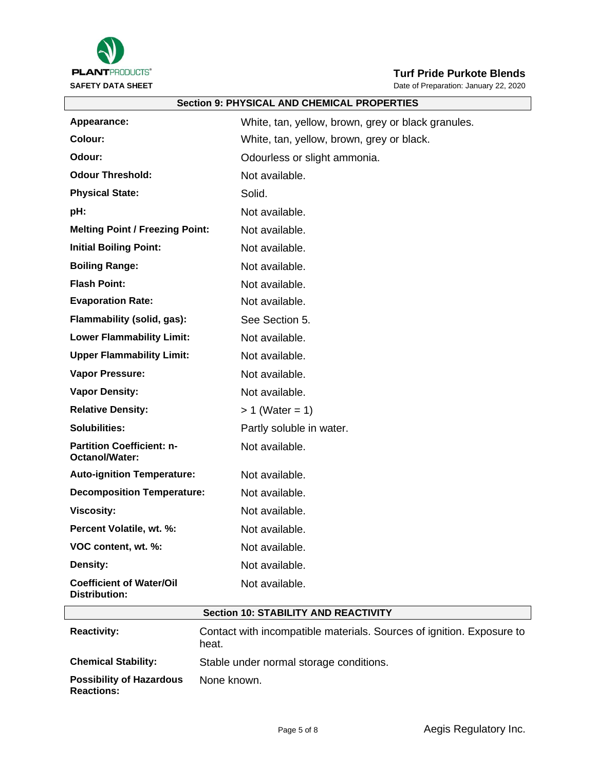

**SAFETY DATA SHEET DATA SHEET Date of Preparation: January 22, 2020** 

| <b>Section 9: PHYSICAL AND CHEMICAL PROPERTIES</b> |                                                    |  |  |
|----------------------------------------------------|----------------------------------------------------|--|--|
| Appearance:                                        | White, tan, yellow, brown, grey or black granules. |  |  |
| Colour:                                            | White, tan, yellow, brown, grey or black.          |  |  |
| Odour:                                             | Odourless or slight ammonia.                       |  |  |
| <b>Odour Threshold:</b>                            | Not available.                                     |  |  |
| <b>Physical State:</b>                             | Solid.                                             |  |  |
| pH:                                                | Not available.                                     |  |  |
| <b>Melting Point / Freezing Point:</b>             | Not available.                                     |  |  |
| <b>Initial Boiling Point:</b>                      | Not available.                                     |  |  |
| <b>Boiling Range:</b>                              | Not available.                                     |  |  |
| <b>Flash Point:</b>                                | Not available.                                     |  |  |
| <b>Evaporation Rate:</b>                           | Not available.                                     |  |  |
| Flammability (solid, gas):                         | See Section 5.                                     |  |  |
| <b>Lower Flammability Limit:</b>                   | Not available.                                     |  |  |
| <b>Upper Flammability Limit:</b>                   | Not available.                                     |  |  |
| Vapor Pressure:                                    | Not available.                                     |  |  |
| <b>Vapor Density:</b>                              | Not available.                                     |  |  |
| <b>Relative Density:</b>                           | $> 1$ (Water = 1)                                  |  |  |
| Solubilities:                                      | Partly soluble in water.                           |  |  |
| <b>Partition Coefficient: n-</b><br>Octanol/Water: | Not available.                                     |  |  |
| <b>Auto-ignition Temperature:</b>                  | Not available.                                     |  |  |
| <b>Decomposition Temperature:</b>                  | Not available.                                     |  |  |
| <b>Viscosity:</b>                                  | Not available.                                     |  |  |
| Percent Volatile, wt. %:                           | Not available.                                     |  |  |
| VOC content, wt. %:                                | Not available.                                     |  |  |
| Density:                                           | Not available.                                     |  |  |
| <b>Coefficient of Water/Oil</b><br>Distribution:   | Not available.                                     |  |  |

# **Section 10: STABILITY AND REACTIVITY**

| <b>Reactivity:</b>                                   | Contact with incompatible materials. Sources of ignition. Exposure to<br>heat. |
|------------------------------------------------------|--------------------------------------------------------------------------------|
| <b>Chemical Stability:</b>                           | Stable under normal storage conditions.                                        |
| <b>Possibility of Hazardous</b><br><b>Reactions:</b> | None known.                                                                    |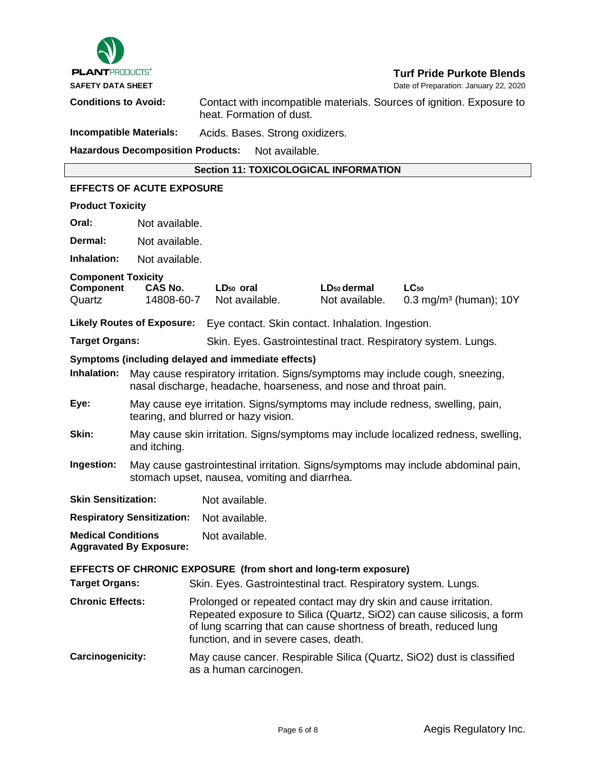

**SAFETY DATA SHEET DATA SHEET Date of Preparation: January 22, 2020** 

**Conditions to Avoid:** Contact with incompatible materials. Sources of ignition. Exposure to heat. Formation of dust.

**Incompatible Materials:** Acids. Bases. Strong oxidizers.

**Hazardous Decomposition Products:** Not available.

### **Section 11: TOXICOLOGICAL INFORMATION**

# **EFFECTS OF ACUTE EXPOSURE Product Toxicity Oral:** Not available. **Dermal:** Not available. **Inhalation:** Not available. **Component Toxicity<br>Component CAS No. Component CAS No. LD50 oral LD50 dermal LC<sup>50</sup>** Quartz 14808-60-7 Not available. Not available. 0.3 mg/m<sup>3</sup> (human); 10Y **Likely Routes of Exposure:** Eye contact. Skin contact. Inhalation. Ingestion. **Target Organs:** Skin. Eyes. Gastrointestinal tract. Respiratory system. Lungs. **Symptoms (including delayed and immediate effects) Inhalation:** May cause respiratory irritation. Signs/symptoms may include cough, sneezing, nasal discharge, headache, hoarseness, and nose and throat pain. **Eye:** May cause eye irritation. Signs/symptoms may include redness, swelling, pain, tearing, and blurred or hazy vision. **Skin:** May cause skin irritation. Signs/symptoms may include localized redness, swelling, and itching. **Ingestion:** May cause gastrointestinal irritation. Signs/symptoms may include abdominal pain, stomach upset, nausea, vomiting and diarrhea. **Skin Sensitization:** Not available. **Respiratory Sensitization:** Not available. **Medical Conditions Aggravated By Exposure:** Not available. **EFFECTS OF CHRONIC EXPOSURE (from short and long-term exposure) Target Organs:** Skin. Eyes. Gastrointestinal tract. Respiratory system. Lungs. **Chronic Effects:** Prolonged or repeated contact may dry skin and cause irritation. Repeated exposure to Silica (Quartz, SiO2) can cause silicosis, a form of lung scarring that can cause shortness of breath, reduced lung function, and in severe cases, death. **Carcinogenicity:** May cause cancer. Respirable Silica (Quartz, SiO2) dust is classified

as a human carcinogen.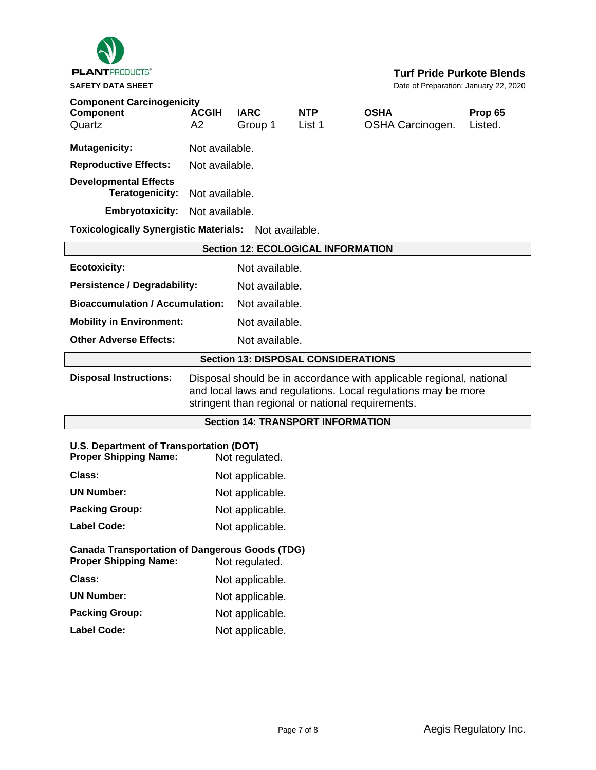

| <b>SAFETY DATA SHEET</b>                                                                                                                                                                                                   |                                                   |                                            |                      |                                 | Date of Preparation: January 22, 2020 |
|----------------------------------------------------------------------------------------------------------------------------------------------------------------------------------------------------------------------------|---------------------------------------------------|--------------------------------------------|----------------------|---------------------------------|---------------------------------------|
| <b>Component Carcinogenicity</b><br>Component<br>Quartz                                                                                                                                                                    | <b>ACGIH</b><br>A2                                | <b>IARC</b><br>Group 1                     | <b>NTP</b><br>List 1 | <b>OSHA</b><br>OSHA Carcinogen. | Prop 65<br>Listed.                    |
| <b>Mutagenicity:</b>                                                                                                                                                                                                       | Not available.                                    |                                            |                      |                                 |                                       |
| <b>Reproductive Effects:</b>                                                                                                                                                                                               | Not available.                                    |                                            |                      |                                 |                                       |
| <b>Developmental Effects</b><br><b>Teratogenicity:</b>                                                                                                                                                                     |                                                   | Not available.                             |                      |                                 |                                       |
| <b>Embryotoxicity:</b>                                                                                                                                                                                                     | Not available.                                    |                                            |                      |                                 |                                       |
| <b>Toxicologically Synergistic Materials:</b>                                                                                                                                                                              |                                                   |                                            | Not available.       |                                 |                                       |
| <b>Section 12: ECOLOGICAL INFORMATION</b>                                                                                                                                                                                  |                                                   |                                            |                      |                                 |                                       |
| <b>Ecotoxicity:</b>                                                                                                                                                                                                        |                                                   | Not available.                             |                      |                                 |                                       |
| <b>Persistence / Degradability:</b><br>Not available.                                                                                                                                                                      |                                                   |                                            |                      |                                 |                                       |
| <b>Bioaccumulation / Accumulation:</b><br>Not available.                                                                                                                                                                   |                                                   |                                            |                      |                                 |                                       |
|                                                                                                                                                                                                                            | Not available.<br><b>Mobility in Environment:</b> |                                            |                      |                                 |                                       |
| <b>Other Adverse Effects:</b>                                                                                                                                                                                              | Not available.                                    |                                            |                      |                                 |                                       |
|                                                                                                                                                                                                                            |                                                   | <b>Section 13: DISPOSAL CONSIDERATIONS</b> |                      |                                 |                                       |
| <b>Disposal Instructions:</b><br>Disposal should be in accordance with applicable regional, national<br>and local laws and regulations. Local regulations may be more<br>stringent than regional or national requirements. |                                                   |                                            |                      |                                 |                                       |
| <b>Section 14: TRANSPORT INFORMATION</b>                                                                                                                                                                                   |                                                   |                                            |                      |                                 |                                       |
| U.S. Department of Transportation (DOT)<br><b>Proper Shipping Name:</b><br>Not regulated.                                                                                                                                  |                                                   |                                            |                      |                                 |                                       |
| Class:                                                                                                                                                                                                                     | Not applicable.                                   |                                            |                      |                                 |                                       |
| <b>UN Number:</b>                                                                                                                                                                                                          | Not applicable.                                   |                                            |                      |                                 |                                       |
| <b>Packing Group:</b>                                                                                                                                                                                                      | Not applicable.                                   |                                            |                      |                                 |                                       |
| <b>Label Code:</b>                                                                                                                                                                                                         | Not applicable.                                   |                                            |                      |                                 |                                       |
| <b>Canada Transportation of Dangerous Goods (TDG)</b><br><b>Proper Shipping Name:</b><br>Not regulated.                                                                                                                    |                                                   |                                            |                      |                                 |                                       |

**Class:** Not applicable. **UN Number:** Not applicable. Packing Group: Not applicable. Label Code: Not applicable.